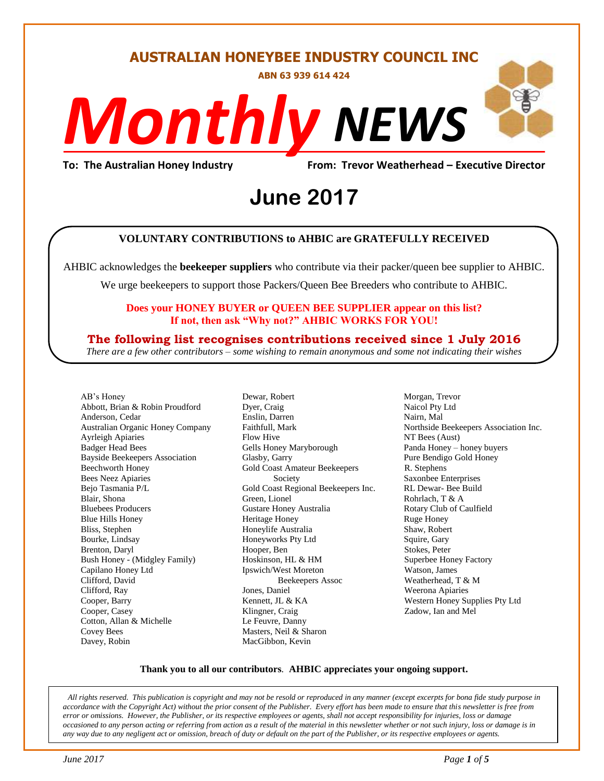#### **AUSTRALIAN HONEYBEE INDUSTRY COUNCIL INC**

**ABN 63 939 614 424**

# *NEWS Monthly*

**To: The Australian Honey Industry From: Trevor Weatherhead – Executive Director**

# *DS* **June 2017**

#### **VOLUNTARY CONTRIBUTIONS to AHBIC are GRATEFULLY RECEIVED**

AHBIC acknowledges the **beekeeper suppliers** who contribute via their packer/queen bee supplier to AHBIC.

We urge beekeepers to support those Packers/Queen Bee Breeders who contribute to AHBIC.

#### **Does your HONEY BUYER or QUEEN BEE SUPPLIER appear on this list? If not, then ask "Why not?" AHBIC WORKS FOR YOU!**

#### **The following list recognises contributions received since 1 July 2016**

*There are a few other contributors – some wishing to remain anonymous and some not indicating their wishes*

AB's Honey Abbott, Brian & Robin Proudford Anderson, Cedar Australian Organic Honey Company Ayrleigh Apiaries Badger Head Bees Bayside Beekeepers Association Beechworth Honey Bees Neez Apiaries Bejo Tasmania P/L Blair, Shona Bluebees Producers Blue Hills Honey Bliss, Stephen Bourke, Lindsay Brenton, Daryl Bush Honey - (Midgley Family) Capilano Honey Ltd Clifford, David Clifford, Ray Cooper, Barry Cooper, Casey Cotton, Allan & Michelle Covey Bees Davey, Robin

Dewar, Robert Dyer, Craig Enslin, Darren Faithfull, Mark Flow Hive Gells Honey Maryborough Glasby, Garry Gold Coast Amateur Beekeepers Society Gold Coast Regional Beekeepers Inc. Green, Lionel Gustare Honey Australia Heritage Honey Honeylife Australia Honeyworks Pty Ltd Hooper, Ben Hoskinson, HL & HM Ipswich/West Moreton Beekeepers Assoc Jones, Daniel Kennett, JL & KA Klingner, Craig Le Feuvre, Danny Masters, Neil & Sharon MacGibbon, Kevin

Morgan, Trevor Naicol Pty Ltd Nairn, Mal Northside Beekeepers Association Inc. NT Bees (Aust) Panda Honey – honey buyers Pure Bendigo Gold Honey R. Stephens Saxonbee Enterprises RL Dewar- Bee Build Rohrlach, T & A Rotary Club of Caulfield Ruge Honey Shaw, Robert Squire, Gary Stokes, Peter Superbee Honey Factory Watson, James Weatherhead, T & M Weerona Apiaries Western Honey Supplies Pty Ltd Zadow, Ian and Mel

#### **Thank you to all our contributors***.* **AHBIC appreciates your ongoing support.**

*All rights reserved. This publication is copyright and may not be resold or reproduced in any manner (except excerpts for bona fide study purpose in accordance with the Copyright Act) without the prior consent of the Publisher. Every effort has been made to ensure that this newsletter is free from error or omissions. However, the Publisher, or its respective employees or agents, shall not accept responsibility for injuries, loss or damage occasioned to any person acting or referring from action as a result of the material in this newsletter whether or not such injury, loss or damage is in any way due to any negligent act or omission, breach of duty or default on the part of the Publisher, or its respective employees or agents.*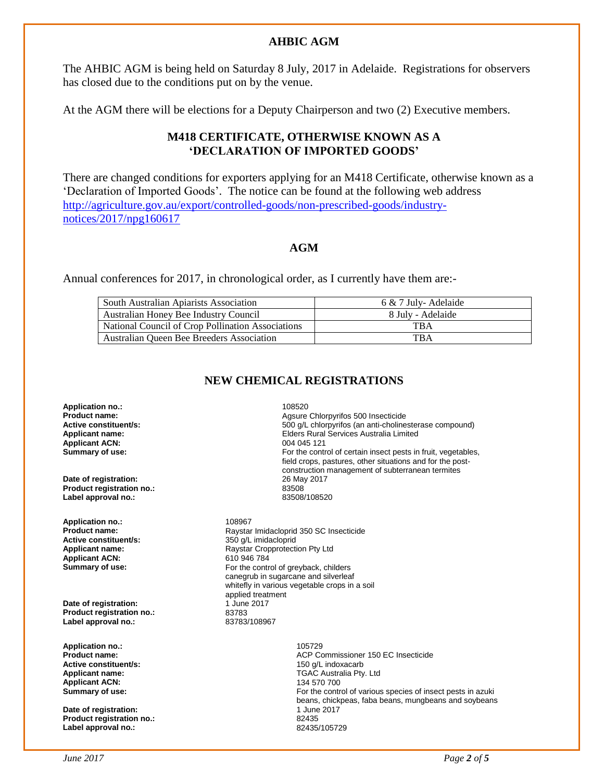#### **AHBIC AGM**

The AHBIC AGM is being held on Saturday 8 July, 2017 in Adelaide. Registrations for observers has closed due to the conditions put on by the venue.

At the AGM there will be elections for a Deputy Chairperson and two (2) Executive members.

#### **M418 CERTIFICATE, OTHERWISE KNOWN AS A 'DECLARATION OF IMPORTED GOODS'**

There are changed conditions for exporters applying for an M418 Certificate, otherwise known as a 'Declaration of Imported Goods'. The notice can be found at the following web address [http://agriculture.gov.au/export/controlled-goods/non-prescribed-goods/industry](http://agriculture.gov.au/export/controlled-goods/non-prescribed-goods/industry-notices/2017/npg160617)[notices/2017/npg160617](http://agriculture.gov.au/export/controlled-goods/non-prescribed-goods/industry-notices/2017/npg160617)

#### **AGM**

Annual conferences for 2017, in chronological order, as I currently have them are:-

| South Australian Apiarists Association            | 6 & 7 July- Adelaide |
|---------------------------------------------------|----------------------|
| Australian Honey Bee Industry Council             | 8 July - Adelaide    |
| National Council of Crop Pollination Associations | TBA                  |
| Australian Queen Bee Breeders Association         | <b>TBA</b>           |

#### **NEW CHEMICAL REGISTRATIONS**

**Application no.:** 108520 **Product name: Product name: Agsure Chlorpyrifos 500 Insecticide**<br> **Active constituent/s: Active in the SOO 4/L** chlorpyrifos (an anti-choline **Applicant name:**<br> **Applicant ACN:**<br> **Applicant ACN:**<br> **Applicant ACN:**<br> **Applicant ACN:**<br> **Applicant ACN: Applicant ACN: Summary of use: For the control of certain insect pests in fruit, vegetables, Date of registration: Product registration no.:** 83508 **Label approval no.: Application no.:** 108967<br>**Product name:** Raystar Raystar Imidacloprid 350 SC Insecticide **Active constituent/s:** 350 g/L imidacloprid<br> **Applicant name:** Raystar Cropprotecti Raystar Cropprotection Pty Ltd<br>610 946 784 **Applicant ACN:**<br>Summary of use: For the control of greyback, childers canegrub in sugarcane and silverleaf applied treatment **Date of registration:** 1 June 2017 **Product registration no.:** 83783<br>
Label approval no.: 83783/108967 Label approval no.: **Application no.:** 105729 **Active constituent/s: 150 g/L indoxacarb 150 g/L indoxacarb Applicant name:** TGAC Australia Pty. Ltd **Applicant ACN: Summary of use: For the control of various species of insect pests in azuki** For the control of various species of insect pests in azuki **Date of registration: Product registration no.:** 82435 Label approval no.:

500 g/L chlorpyrifos (an anti-cholinesterase compound) field crops, pastures, other situations and for the postconstruction management of subterranean termites

whitefly in various vegetable crops in a soil

**ACP Commissioner 150 EC Insecticide** beans, chickpeas, faba beans, mungbeans and soybeans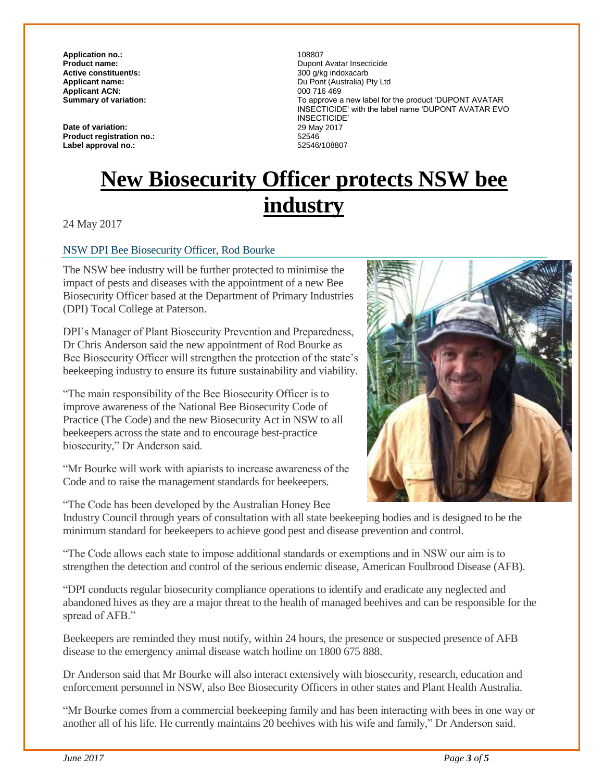**Application no.:** 108807 Active constituent/s:<br>Applicant name: **Applicant ACN:**<br>**Summary of variation:** 

**Date of variation: Product registration no.:**  Label approval no.:

**Pupont Avatar Insecticide**<br>300 a/ka indoxacarb Du Pont (Australia) Pty Ltd<br>000 716 469 **Summary of variation:** To approve a new label for the product 'DUPONT AVATAR INSECTICIDE' with the label name 'DUPONT AVATAR EVO INSECTICIDE' 29 May 2017 52546<br>52546/108807

## **New Biosecurity Officer protects NSW bee industry**

24 May 2017

#### NSW DPI Bee Biosecurity Officer, Rod Bourke

The NSW bee industry will be further protected to minimise the impact of pests and diseases with the appointment of a new Bee Biosecurity Officer based at the Department of Primary Industries (DPI) Tocal College at Paterson.

DPI's Manager of Plant Biosecurity Prevention and Preparedness, Dr Chris Anderson said the new appointment of Rod Bourke as Bee Biosecurity Officer will strengthen the protection of the state's beekeeping industry to ensure its future sustainability and viability.

"The main responsibility of the Bee Biosecurity Officer is to improve awareness of the National Bee Biosecurity Code of Practice (The Code) and the new Biosecurity Act in NSW to all beekeepers across the state and to encourage best-practice biosecurity," Dr Anderson said.

"Mr Bourke will work with apiarists to increase awareness of the Code and to raise the management standards for beekeepers.

"The Code has been developed by the Australian Honey Bee

Industry Council through years of consultation with all state beekeeping bodies and is designed to be the minimum standard for beekeepers to achieve good pest and disease prevention and control.

"The Code allows each state to impose additional standards or exemptions and in NSW our aim is to strengthen the detection and control of the serious endemic disease, American Foulbrood Disease (AFB).

"DPI conducts regular biosecurity compliance operations to identify and eradicate any neglected and abandoned hives as they are a major threat to the health of managed beehives and can be responsible for the spread of AFB."

Beekeepers are reminded they must notify, within 24 hours, the presence or suspected presence of AFB disease to the emergency animal disease watch hotline on 1800 675 888.

Dr Anderson said that Mr Bourke will also interact extensively with biosecurity, research, education and enforcement personnel in NSW, also Bee Biosecurity Officers in other states and Plant Health Australia.

"Mr Bourke comes from a commercial beekeeping family and has been interacting with bees in one way or another all of his life. He currently maintains 20 beehives with his wife and family," Dr Anderson said.

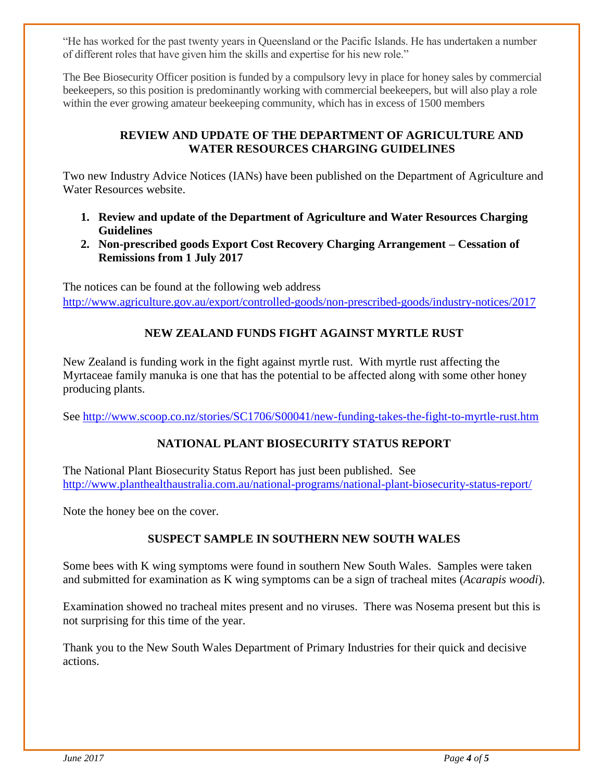"He has worked for the past twenty years in Queensland or the Pacific Islands. He has undertaken a number of different roles that have given him the skills and expertise for his new role."

The Bee Biosecurity Officer position is funded by a compulsory levy in place for honey sales by commercial beekeepers, so this position is predominantly working with commercial beekeepers, but will also play a role within the ever growing amateur beekeeping community, which has in excess of 1500 members

#### **REVIEW AND UPDATE OF THE DEPARTMENT OF AGRICULTURE AND WATER RESOURCES CHARGING GUIDELINES**

Two new Industry Advice Notices (IANs) have been published on the Department of Agriculture and Water Resources website.

- **1. Review and update of the Department of Agriculture and Water Resources Charging Guidelines**
- **2. Non-prescribed goods Export Cost Recovery Charging Arrangement – Cessation of Remissions from 1 July 2017**

The notices can be found at the following web address <http://www.agriculture.gov.au/export/controlled-goods/non-prescribed-goods/industry-notices/2017>

#### **NEW ZEALAND FUNDS FIGHT AGAINST MYRTLE RUST**

New Zealand is funding work in the fight against myrtle rust. With myrtle rust affecting the Myrtaceae family manuka is one that has the potential to be affected along with some other honey producing plants.

See<http://www.scoop.co.nz/stories/SC1706/S00041/new-funding-takes-the-fight-to-myrtle-rust.htm>

#### **NATIONAL PLANT BIOSECURITY STATUS REPORT**

The National Plant Biosecurity Status Report has just been published. See <http://www.planthealthaustralia.com.au/national-programs/national-plant-biosecurity-status-report/>

Note the honey bee on the cover.

#### **SUSPECT SAMPLE IN SOUTHERN NEW SOUTH WALES**

Some bees with K wing symptoms were found in southern New South Wales. Samples were taken and submitted for examination as K wing symptoms can be a sign of tracheal mites (*Acarapis woodi*).

Examination showed no tracheal mites present and no viruses. There was Nosema present but this is not surprising for this time of the year.

Thank you to the New South Wales Department of Primary Industries for their quick and decisive actions.